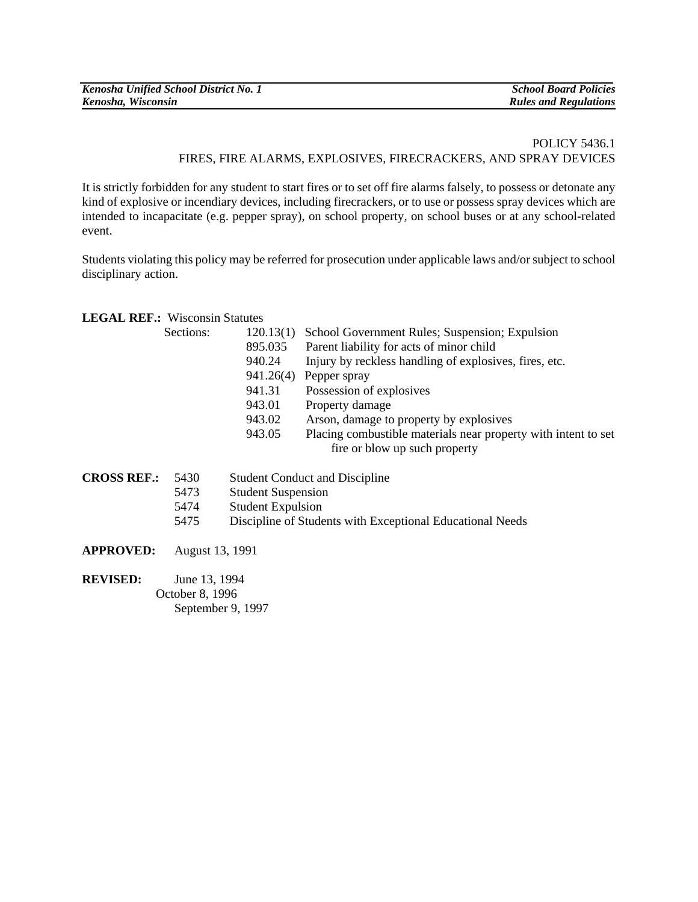| Kenosha Unified School District No. 1 | <b>School Board Policies</b> |
|---------------------------------------|------------------------------|
| Kenosha, Wisconsin                    | <b>Rules and Regulations</b> |

## POLICY 5436.1 FIRES, FIRE ALARMS, EXPLOSIVES, FIRECRACKERS, AND SPRAY DEVICES

It is strictly forbidden for any student to start fires or to set off fire alarms falsely, to possess or detonate any kind of explosive or incendiary devices, including firecrackers, or to use or possess spray devices which are intended to incapacitate (e.g. pepper spray), on school property, on school buses or at any school-related event.

Students violating this policy may be referred for prosecution under applicable laws and/or subject to school disciplinary action.

## **LEGAL REF.:** Wisconsin Statutes

| Sections: | 120.13(1) | School Government Rules; Suspension; Expulsion                 |
|-----------|-----------|----------------------------------------------------------------|
|           | 895.035   | Parent liability for acts of minor child                       |
|           | 940.24    | Injury by reckless handling of explosives, fires, etc.         |
|           | 941.26(4) | Pepper spray                                                   |
|           | 941.31    | Possession of explosives                                       |
|           | 943.01    | Property damage                                                |
|           | 943.02    | Arson, damage to property by explosives                        |
|           | 943.05    | Placing combustible materials near property with intent to set |
|           |           | fire or blow up such property                                  |

| <b>CROSS REF.:</b> | 5430 | <b>Student Conduct and Discipline</b>                     |
|--------------------|------|-----------------------------------------------------------|
|                    | 5473 | <b>Student Suspension</b>                                 |
|                    | 5474 | <b>Student Expulsion</b>                                  |
|                    | 5475 | Discipline of Students with Exceptional Educational Needs |

**APPROVED:** August 13, 1991

**REVISED:** June 13, 1994 October 8, 1996 September 9, 1997